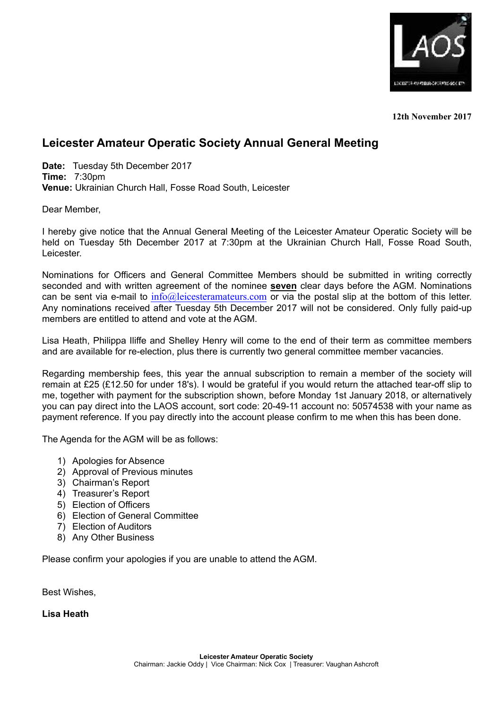

**12th November 2017**

## **Leicester Amateur Operatic Society Annual General Meeting**

**Date:** Tuesday 5th December 2017 **Time:** 7:30pm **Venue:** Ukrainian Church Hall, Fosse Road South, Leicester

Dear Member,

I hereby give notice that the Annual General Meeting of the Leicester Amateur Operatic Society will be held on Tuesday 5th December 2017 at 7:30pm at the Ukrainian Church Hall, Fosse Road South, Leicester.

Nominations for Officers and General Committee Members should be submitted in writing correctly seconded and with written agreement of the nominee **seven** clear days before the AGM. Nominations can be sent via e-mail to  $info@leicesteramateurs.com$  or via the postal slip at the bottom of this letter. Any nominations received after Tuesday 5th December 2017 will not be considered. Only fully paid-up members are entitled to attend and vote at the AGM.

Lisa Heath, Philippa Iliffe and Shelley Henry will come to the end of their term as committee members and are available for re-election, plus there is currently two general committee member vacancies.

Regarding membership fees, this year the annual subscription to remain a member of the society will remain at £25 (£12.50 for under 18's). I would be grateful if you would return the attached tear-off slip to me, together with payment for the subscription shown, before Monday 1st January 2018, or alternatively you can pay direct into the LAOS account, sort code: 20-49-11 account no: 50574538 with your name as payment reference. If you pay directly into the account please confirm to me when this has been done.

The Agenda for the AGM will be as follows:

- 1) Apologies for Absence
- 2) Approval of Previous minutes
- 3) Chairman's Report
- 4) Treasurer's Report
- 5) Election of Officers
- 6) Election of General Committee
- 7) Election of Auditors
- 8) Any Other Business

Please confirm your apologies if you are unable to attend the AGM.

Best Wishes,

**Lisa Heath**